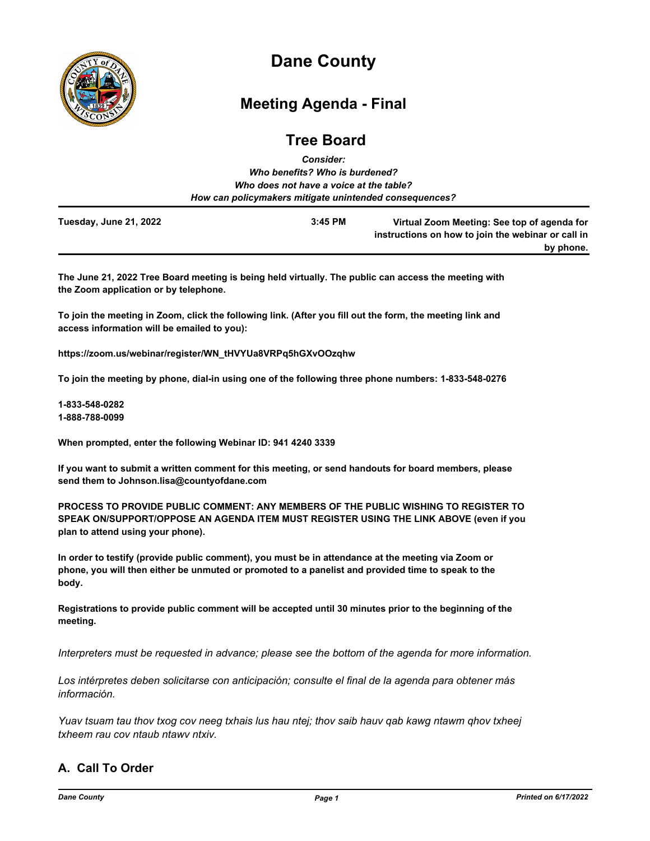

# **Dane County**

## **Meeting Agenda - Final**

## **Tree Board** *Consider:*

|                        | Who benefits? Who is burdened?                         |                                                                                                   |
|------------------------|--------------------------------------------------------|---------------------------------------------------------------------------------------------------|
|                        | Who does not have a voice at the table?                |                                                                                                   |
|                        | How can policymakers mitigate unintended consequences? |                                                                                                   |
| Tuesday, June 21, 2022 | $3:45$ PM                                              | Virtual Zoom Meeting: See top of agenda for<br>instructions on how to join the webinar or call in |
|                        |                                                        | by phone.                                                                                         |

**The June 21, 2022 Tree Board meeting is being held virtually. The public can access the meeting with the Zoom application or by telephone.**

**To join the meeting in Zoom, click the following link. (After you fill out the form, the meeting link and access information will be emailed to you):**

**https://zoom.us/webinar/register/WN\_tHVYUa8VRPq5hGXvOOzqhw**

**To join the meeting by phone, dial-in using one of the following three phone numbers: 1-833-548-0276**

**1-833-548-0282 1-888-788-0099**

**When prompted, enter the following Webinar ID: 941 4240 3339**

**If you want to submit a written comment for this meeting, or send handouts for board members, please send them to Johnson.lisa@countyofdane.com**

**PROCESS TO PROVIDE PUBLIC COMMENT: ANY MEMBERS OF THE PUBLIC WISHING TO REGISTER TO SPEAK ON/SUPPORT/OPPOSE AN AGENDA ITEM MUST REGISTER USING THE LINK ABOVE (even if you plan to attend using your phone).**

**In order to testify (provide public comment), you must be in attendance at the meeting via Zoom or phone, you will then either be unmuted or promoted to a panelist and provided time to speak to the body.**

**Registrations to provide public comment will be accepted until 30 minutes prior to the beginning of the meeting.**

*Interpreters must be requested in advance; please see the bottom of the agenda for more information.*

*Los intérpretes deben solicitarse con anticipación; consulte el final de la agenda para obtener más información.*

*Yuav tsuam tau thov txog cov neeg txhais lus hau ntej; thov saib hauv qab kawg ntawm qhov txheej txheem rau cov ntaub ntawv ntxiv.*

## **A. Call To Order**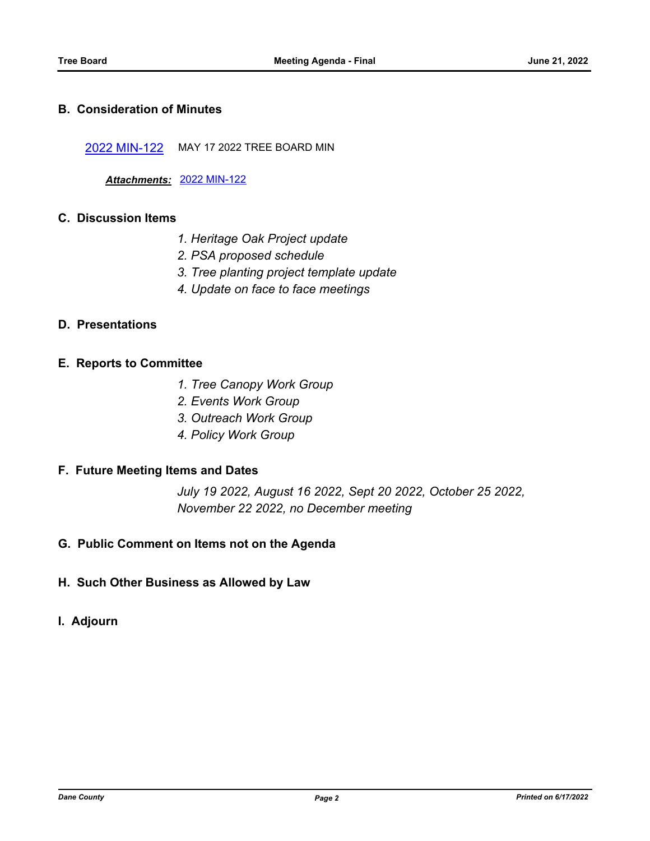### **B. Consideration of Minutes**

[2022 MIN-122](http://dane.legistar.com/gateway.aspx?m=l&id=/matter.aspx?key=23108) MAY 17 2022 TREE BOARD MIN

*Attachments:* [2022 MIN-122](http://dane.legistar.com/gateway.aspx?M=F&ID=1e76c069-ce58-4350-897b-495b5aea9792.pdf)

## **C. Discussion Items**

- *1. Heritage Oak Project update*
- *2. PSA proposed schedule*
- *3. Tree planting project template update*
- *4. Update on face to face meetings*

## **D. Presentations**

#### **E. Reports to Committee**

- *1. Tree Canopy Work Group*
- *2. Events Work Group*
- *3. Outreach Work Group*
- *4. Policy Work Group*

#### **F. Future Meeting Items and Dates**

*July 19 2022, August 16 2022, Sept 20 2022, October 25 2022, November 22 2022, no December meeting*

## **G. Public Comment on Items not on the Agenda**

- **H. Such Other Business as Allowed by Law**
- **I. Adjourn**